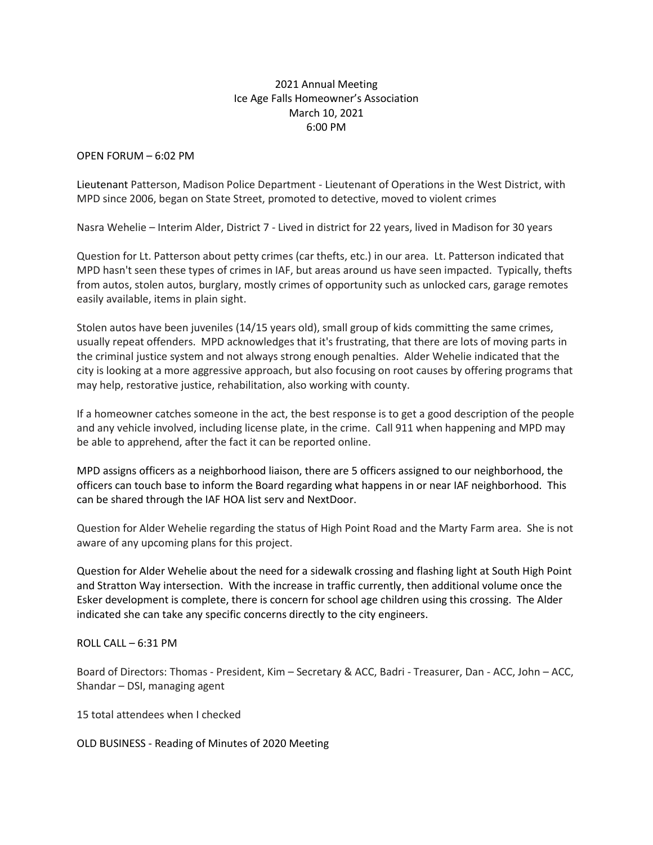## 2021 Annual Meeting Ice Age Falls Homeowner's Association March 10, 2021 6:00 PM

OPEN FORUM – 6:02 PM

Lieutenant Patterson, Madison Police Department - Lieutenant of Operations in the West District, with MPD since 2006, began on State Street, promoted to detective, moved to violent crimes

Nasra Wehelie – Interim Alder, District 7 - Lived in district for 22 years, lived in Madison for 30 years

Question for Lt. Patterson about petty crimes (car thefts, etc.) in our area. Lt. Patterson indicated that MPD hasn't seen these types of crimes in IAF, but areas around us have seen impacted. Typically, thefts from autos, stolen autos, burglary, mostly crimes of opportunity such as unlocked cars, garage remotes easily available, items in plain sight.

Stolen autos have been juveniles (14/15 years old), small group of kids committing the same crimes, usually repeat offenders. MPD acknowledges that it's frustrating, that there are lots of moving parts in the criminal justice system and not always strong enough penalties. Alder Wehelie indicated that the city is looking at a more aggressive approach, but also focusing on root causes by offering programs that may help, restorative justice, rehabilitation, also working with county.

If a homeowner catches someone in the act, the best response is to get a good description of the people and any vehicle involved, including license plate, in the crime. Call 911 when happening and MPD may be able to apprehend, after the fact it can be reported online.

MPD assigns officers as a neighborhood liaison, there are 5 officers assigned to our neighborhood, the officers can touch base to inform the Board regarding what happens in or near IAF neighborhood. This can be shared through the IAF HOA list serv and NextDoor.

Question for Alder Wehelie regarding the status of High Point Road and the Marty Farm area. She is not aware of any upcoming plans for this project.

Question for Alder Wehelie about the need for a sidewalk crossing and flashing light at South High Point and Stratton Way intersection. With the increase in traffic currently, then additional volume once the Esker development is complete, there is concern for school age children using this crossing. The Alder indicated she can take any specific concerns directly to the city engineers.

 $ROIL CAIL - 6:31 PM$ 

Board of Directors: Thomas - President, Kim – Secretary & ACC, Badri - Treasurer, Dan - ACC, John – ACC, Shandar – DSI, managing agent

15 total attendees when I checked

OLD BUSINESS - Reading of Minutes of 2020 Meeting